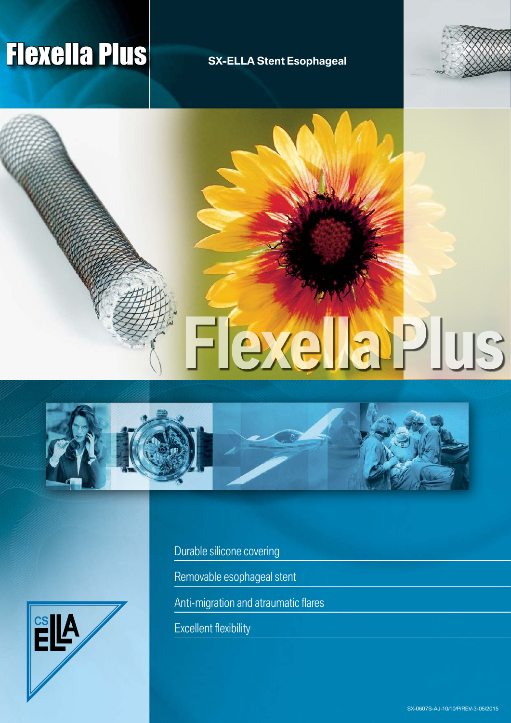# **Flexella Plus** SX-ELLA Stent Esophageal









Durable silicone covering

Removable esophageal stent

Anti-migration and atraumatic flares

Excellent flexibility